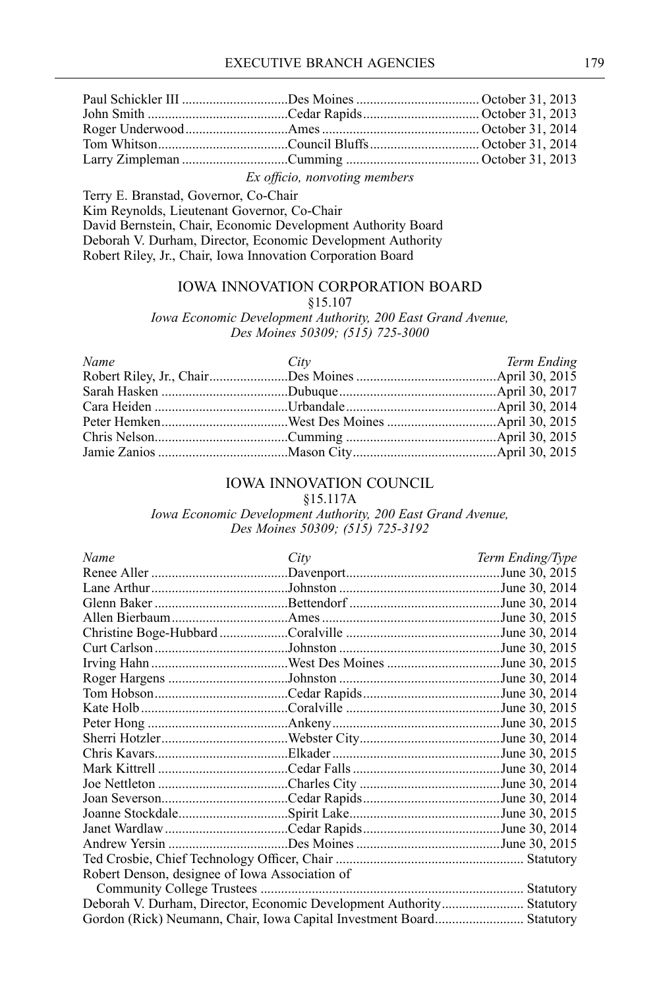*Ex officio, nonvoting members*

Terry E. Branstad, Governor, Co-Chair Kim Reynolds, Lieutenant Governor, Co-Chair David Bernstein, Chair, Economic Development Authority Board Deborah V. Durham, Director, Economic Development Authority Robert Riley, Jr., Chair, Iowa Innovation Corporation Board

#### IOWA INNOVATION CORPORATION BOARD

§15.107

*Iowa Economic Development Authority, 200 East Grand Avenue, Des Moines 50309; (515) 725-3000*

| Name | City | Term Ending |
|------|------|-------------|
|      |      |             |
|      |      |             |
|      |      |             |
|      |      |             |
|      |      |             |
|      |      |             |

### IOWA INNOVATION COUNCIL

§15.117A

*Iowa Economic Development Authority, 200 East Grand Avenue, Des Moines 50309; (515) 725-3192*

| Name                                           | City | Term Ending/Type |
|------------------------------------------------|------|------------------|
|                                                |      | June 30, 2015    |
|                                                |      | June 30, 2014    |
|                                                |      | June 30, 2014    |
|                                                |      | June 30, 2015    |
|                                                |      | June 30, 2014    |
|                                                |      | June 30, 2015    |
|                                                |      | June 30, 2015    |
|                                                |      | June 30, 2014    |
|                                                |      | June 30, 2014    |
|                                                |      | June 30, 2015    |
|                                                |      | June 30, 2015    |
|                                                |      | June 30, 2014    |
|                                                |      | June 30, 2015    |
|                                                |      | June 30, 2014    |
|                                                |      | June 30, 2014    |
|                                                |      | June 30, 2014    |
|                                                |      | June 30, 2015    |
|                                                |      |                  |
|                                                |      |                  |
|                                                |      |                  |
| Robert Denson, designee of Iowa Association of |      |                  |
| Community College Trustees.                    |      | Statutory        |
|                                                |      |                  |
|                                                |      |                  |